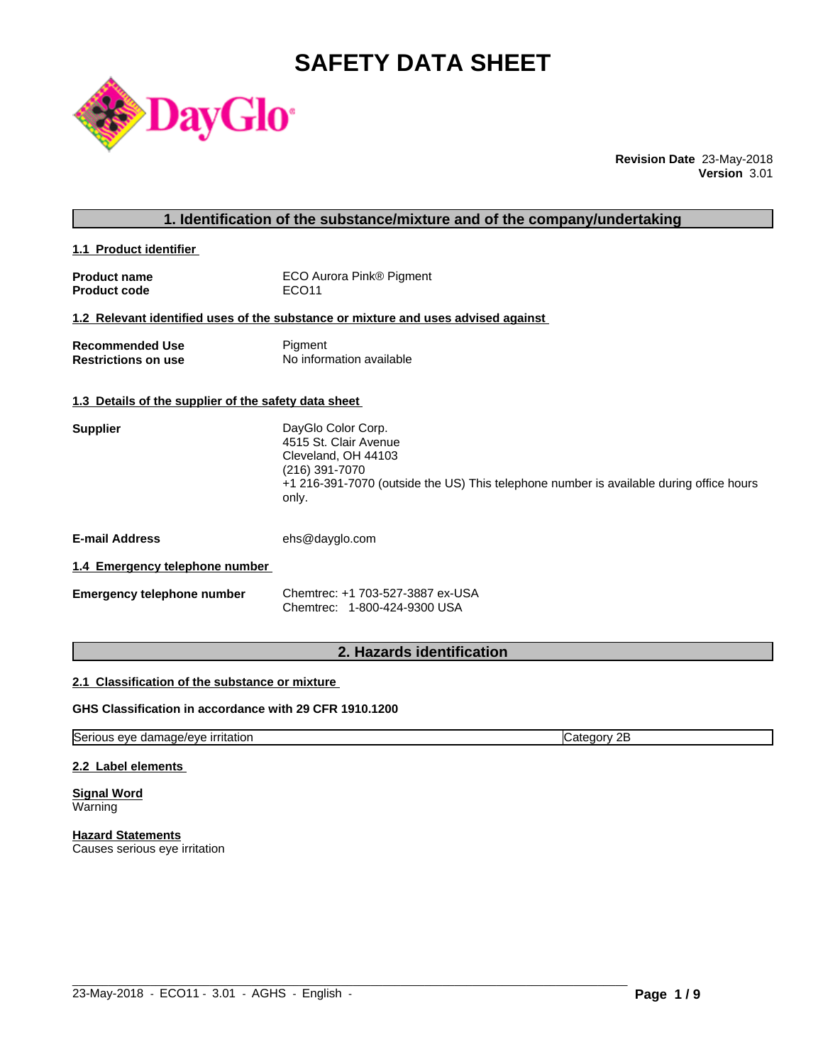# **SAFETY DATA SHEET**



**Revision Date** 23-May-2018 **Version** 3.01

|                                                      | 1. Identification of the substance/mixture and of the company/undertaking                                                                                                                |
|------------------------------------------------------|------------------------------------------------------------------------------------------------------------------------------------------------------------------------------------------|
| 1.1 Product identifier                               |                                                                                                                                                                                          |
| <b>Product name</b><br><b>Product code</b>           | ECO Aurora Pink® Pigment<br>ECO <sub>11</sub>                                                                                                                                            |
|                                                      | 1.2 Relevant identified uses of the substance or mixture and uses advised against                                                                                                        |
| <b>Recommended Use</b><br><b>Restrictions on use</b> | Pigment<br>No information available                                                                                                                                                      |
| 1.3 Details of the supplier of the safety data sheet |                                                                                                                                                                                          |
| <b>Supplier</b>                                      | DayGlo Color Corp.<br>4515 St. Clair Avenue<br>Cleveland, OH 44103<br>(216) 391-7070<br>+1 216-391-7070 (outside the US) This telephone number is available during office hours<br>only. |
| <b>E-mail Address</b>                                | ehs@dayglo.com                                                                                                                                                                           |
| 1.4 Emergency telephone number                       |                                                                                                                                                                                          |
| <b>Emergency telephone number</b>                    | Chemtrec: +1 703-527-3887 ex-USA<br>Chemtrec: 1-800-424-9300 USA                                                                                                                         |
|                                                      |                                                                                                                                                                                          |

## **2. Hazards identification**

## **2.1 Classification of the substance or mixture**

## **GHS Classification in accordance with 29 CFR 1910.1200**

Serious eye damage/eye irritation contract the contract of Category 2B

 $\_$  ,  $\_$  ,  $\_$  ,  $\_$  ,  $\_$  ,  $\_$  ,  $\_$  ,  $\_$  ,  $\_$  ,  $\_$  ,  $\_$  ,  $\_$  ,  $\_$  ,  $\_$  ,  $\_$  ,  $\_$  ,  $\_$  ,  $\_$  ,  $\_$  ,  $\_$  ,  $\_$  ,  $\_$  ,  $\_$  ,  $\_$  ,  $\_$  ,  $\_$  ,  $\_$  ,  $\_$  ,  $\_$  ,  $\_$  ,  $\_$  ,  $\_$  ,  $\_$  ,  $\_$  ,  $\_$  ,  $\_$  ,  $\_$  ,

#### **2.2 Label elements**

**Signal Word** Warning

**Hazard Statements** Causes serious eye irritation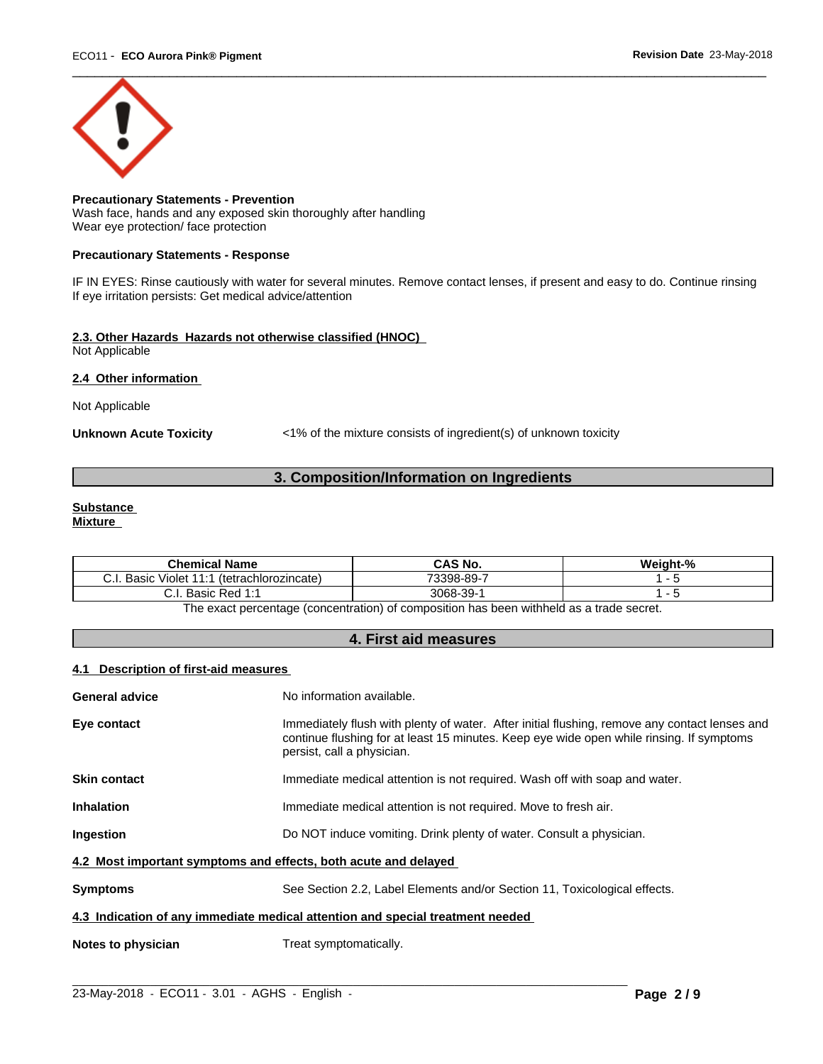

**Precautionary Statements - Prevention** Wash face, hands and any exposed skin thoroughly after handling Wear eye protection/ face protection

#### **Precautionary Statements - Response**

IF IN EYES: Rinse cautiously with water for several minutes. Remove contact lenses, if present and easy to do. Continue rinsing If eye irritation persists: Get medical advice/attention

#### **2.3. Other Hazards Hazards not otherwise classified (HNOC)** Not Applicable

#### **2.4 Other information**

Not Applicable

**Unknown Acute Toxicity** <1% of the mixture consists of ingredient(s) of unknown toxicity

## **3. Composition/Information on Ingredients**

## **Substance**

**Mixture**

| <b>Chemical Name</b>                                                               | <b>CAS No.</b> | $\mathbf{a}$<br><br>Weight-% |
|------------------------------------------------------------------------------------|----------------|------------------------------|
| $\cdots$<br>$\overline{A}$<br>(tetrachlorozincate)<br>Basic<br>. .<br>Violet<br>◡. | 73398-89-      |                              |
| ᄓᇬ<br>Basic<br>neu<br>.                                                            | $3068-39-$     |                              |

The exact percentage (concentration) of composition has been withheld as a trade secret.

## **4. First aid measures**

## **4.1 Description of first-aid measures**

| General advice                                                  | No information available.                                                                                                                                                                                               |  |
|-----------------------------------------------------------------|-------------------------------------------------------------------------------------------------------------------------------------------------------------------------------------------------------------------------|--|
| Eye contact                                                     | Immediately flush with plenty of water. After initial flushing, remove any contact lenses and<br>continue flushing for at least 15 minutes. Keep eye wide open while rinsing. If symptoms<br>persist, call a physician. |  |
| Skin contact                                                    | Immediate medical attention is not required. Wash off with soap and water.                                                                                                                                              |  |
| Inhalation                                                      | Immediate medical attention is not required. Move to fresh air.                                                                                                                                                         |  |
| Ingestion                                                       | Do NOT induce vomiting. Drink plenty of water. Consult a physician.                                                                                                                                                     |  |
| 4.2 Most important symptoms and effects, both acute and delayed |                                                                                                                                                                                                                         |  |
| Symptoms                                                        | See Section 2.2, Label Elements and/or Section 11, Toxicological effects.                                                                                                                                               |  |
|                                                                 | 4.3 Indication of any immediate medical attention and special treatment needed                                                                                                                                          |  |
| Notes to physician                                              | Treat symptomatically.                                                                                                                                                                                                  |  |
|                                                                 |                                                                                                                                                                                                                         |  |

 $\_$  ,  $\_$  ,  $\_$  ,  $\_$  ,  $\_$  ,  $\_$  ,  $\_$  ,  $\_$  ,  $\_$  ,  $\_$  ,  $\_$  ,  $\_$  ,  $\_$  ,  $\_$  ,  $\_$  ,  $\_$  ,  $\_$  ,  $\_$  ,  $\_$  ,  $\_$  ,  $\_$  ,  $\_$  ,  $\_$  ,  $\_$  ,  $\_$  ,  $\_$  ,  $\_$  ,  $\_$  ,  $\_$  ,  $\_$  ,  $\_$  ,  $\_$  ,  $\_$  ,  $\_$  ,  $\_$  ,  $\_$  ,  $\_$  ,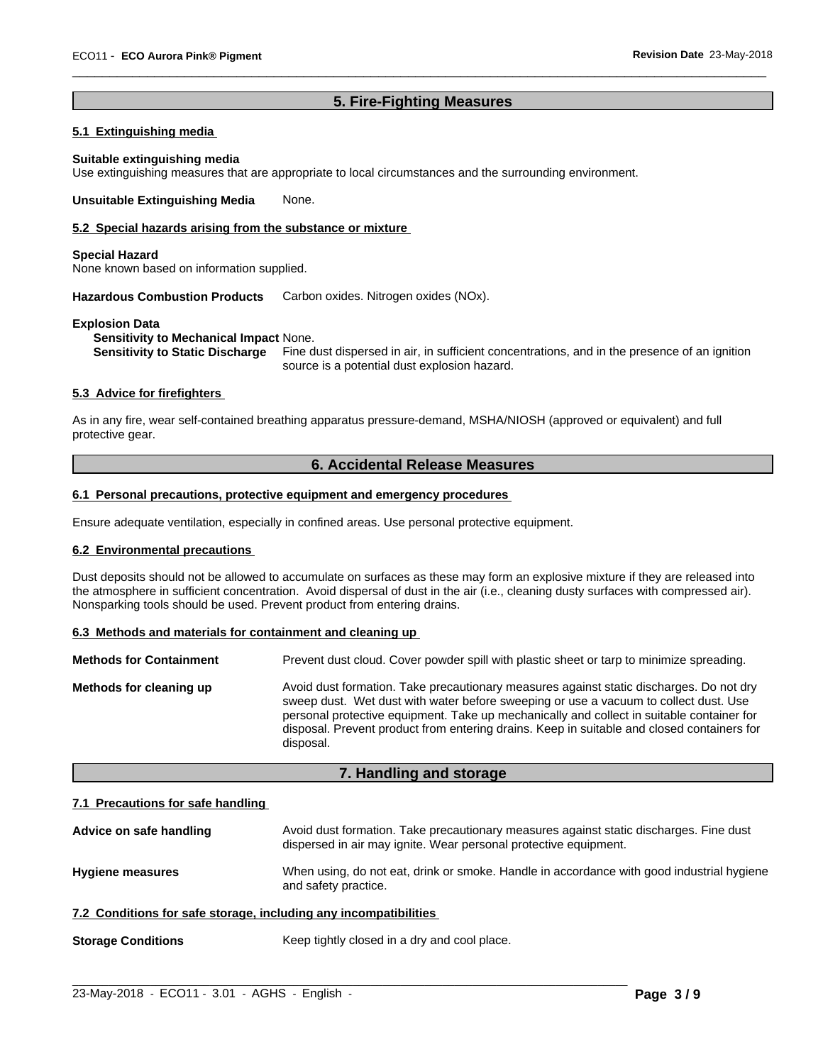## **5. Fire-Fighting Measures**

 $\overline{\phantom{a}}$  ,  $\overline{\phantom{a}}$  ,  $\overline{\phantom{a}}$  ,  $\overline{\phantom{a}}$  ,  $\overline{\phantom{a}}$  ,  $\overline{\phantom{a}}$  ,  $\overline{\phantom{a}}$  ,  $\overline{\phantom{a}}$  ,  $\overline{\phantom{a}}$  ,  $\overline{\phantom{a}}$  ,  $\overline{\phantom{a}}$  ,  $\overline{\phantom{a}}$  ,  $\overline{\phantom{a}}$  ,  $\overline{\phantom{a}}$  ,  $\overline{\phantom{a}}$  ,  $\overline{\phantom{a}}$ 

## **5.1 Extinguishing media**

#### **Suitable extinguishing media**

Use extinguishing measures that are appropriate to local circumstances and the surrounding environment.

**Unsuitable Extinguishing Media** None.

#### **5.2 Special hazards arising from the substance or mixture**

#### **Special Hazard**

None known based on information supplied.

**Hazardous Combustion Products** Carbon oxides. Nitrogen oxides (NOx).

#### **Explosion Data**

**Sensitivity to Mechanical Impact** None.

**Sensitivity to Static Discharge** Fine dust dispersed in air, in sufficient concentrations, and in the presence of an ignition source is a potential dust explosion hazard.

### **5.3 Advice for firefighters**

As in any fire, wear self-contained breathing apparatus pressure-demand, MSHA/NIOSH (approved or equivalent) and full protective gear.

## **6. Accidental Release Measures**

### **6.1 Personal precautions, protective equipment and emergency procedures**

Ensure adequate ventilation, especially in confined areas. Use personal protective equipment.

#### **6.2 Environmental precautions**

Dust deposits should not be allowed to accumulate on surfaces as these may form an explosive mixture if they are released into the atmosphere in sufficient concentration. Avoid dispersal of dust in the air (i.e., cleaning dusty surfaces with compressed air). Nonsparking tools should be used. Prevent product from entering drains.

#### **6.3 Methods and materials for containment and cleaning up**

| <b>Methods for Containment</b> | Prevent dust cloud. Cover powder spill with plastic sheet or tarp to minimize spreading.                                                                                                                                                                                                                                                                                                |
|--------------------------------|-----------------------------------------------------------------------------------------------------------------------------------------------------------------------------------------------------------------------------------------------------------------------------------------------------------------------------------------------------------------------------------------|
| Methods for cleaning up        | Avoid dust formation. Take precautionary measures against static discharges. Do not dry<br>sweep dust. Wet dust with water before sweeping or use a vacuum to collect dust. Use<br>personal protective equipment. Take up mechanically and collect in suitable container for<br>disposal. Prevent product from entering drains. Keep in suitable and closed containers for<br>disposal. |

## **7. Handling and storage**

#### **7.1 Precautions for safe handling**

| Advice on safe handling | Avoid dust formation. Take precautionary measures against static discharges. Fine dust<br>dispersed in air may ignite. Wear personal protective equipment. |
|-------------------------|------------------------------------------------------------------------------------------------------------------------------------------------------------|
| <b>Hygiene measures</b> | When using, do not eat, drink or smoke. Handle in accordance with good industrial hygiene<br>and safety practice.                                          |
|                         |                                                                                                                                                            |

## **7.2 Conditions for safe storage, including any incompatibilities**

**Storage Conditions** Keep tightly closed in a dry and cool place.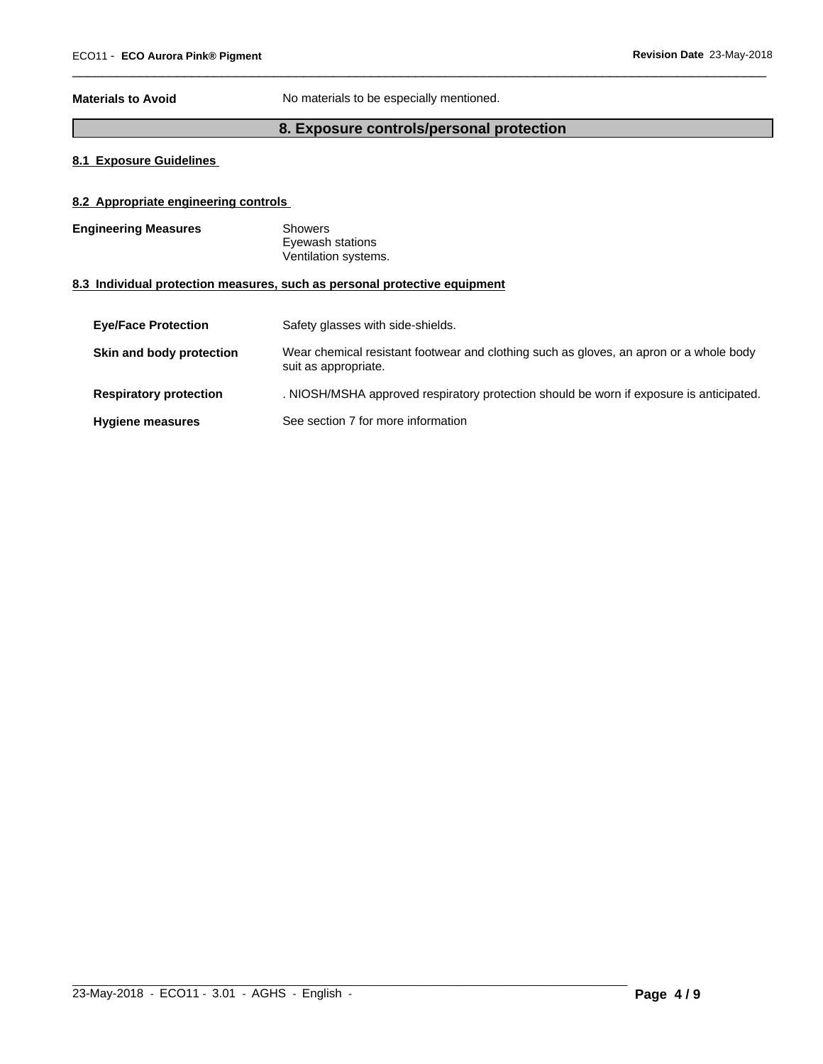**Materials to Avoid** No materials to be especially mentioned.

## **8. Exposure controls/personal protection**

 $\overline{\phantom{a}}$  ,  $\overline{\phantom{a}}$  ,  $\overline{\phantom{a}}$  ,  $\overline{\phantom{a}}$  ,  $\overline{\phantom{a}}$  ,  $\overline{\phantom{a}}$  ,  $\overline{\phantom{a}}$  ,  $\overline{\phantom{a}}$  ,  $\overline{\phantom{a}}$  ,  $\overline{\phantom{a}}$  ,  $\overline{\phantom{a}}$  ,  $\overline{\phantom{a}}$  ,  $\overline{\phantom{a}}$  ,  $\overline{\phantom{a}}$  ,  $\overline{\phantom{a}}$  ,  $\overline{\phantom{a}}$ 

## **8.1 Exposure Guidelines**

## **8.2 Appropriate engineering controls**

| <b>Engineering Measures</b> | Showers              |  |
|-----------------------------|----------------------|--|
|                             | Eyewash stations     |  |
|                             | Ventilation systems. |  |

## **8.3 Individual protection measures, such as personal protective equipment**

| <b>Eye/Face Protection</b>    | Safety glasses with side-shields.                                                                              |
|-------------------------------|----------------------------------------------------------------------------------------------------------------|
| Skin and body protection      | Wear chemical resistant footwear and clothing such as gloves, an apron or a whole body<br>suit as appropriate. |
| <b>Respiratory protection</b> | . NIOSH/MSHA approved respiratory protection should be worn if exposure is anticipated.                        |
| <b>Hygiene measures</b>       | See section 7 for more information                                                                             |

 $\_$  ,  $\_$  ,  $\_$  ,  $\_$  ,  $\_$  ,  $\_$  ,  $\_$  ,  $\_$  ,  $\_$  ,  $\_$  ,  $\_$  ,  $\_$  ,  $\_$  ,  $\_$  ,  $\_$  ,  $\_$  ,  $\_$  ,  $\_$  ,  $\_$  ,  $\_$  ,  $\_$  ,  $\_$  ,  $\_$  ,  $\_$  ,  $\_$  ,  $\_$  ,  $\_$  ,  $\_$  ,  $\_$  ,  $\_$  ,  $\_$  ,  $\_$  ,  $\_$  ,  $\_$  ,  $\_$  ,  $\_$  ,  $\_$  ,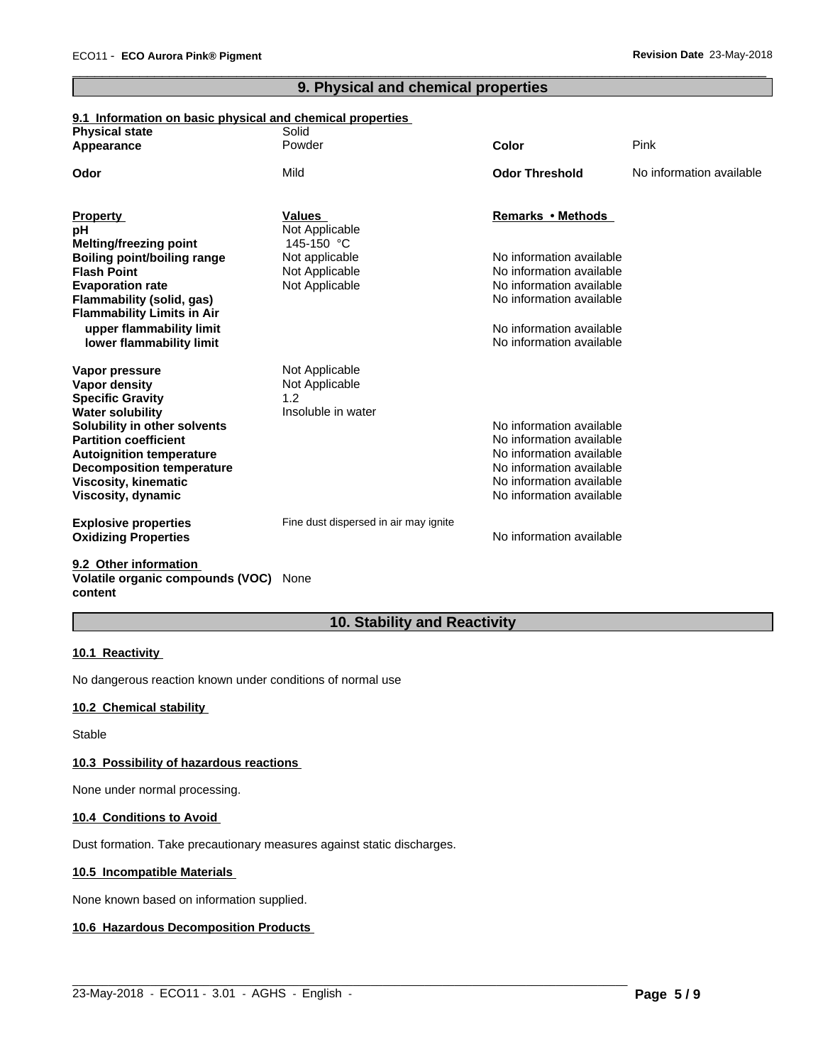## **9. Physical and chemical properties**

 $\overline{\phantom{a}}$  ,  $\overline{\phantom{a}}$  ,  $\overline{\phantom{a}}$  ,  $\overline{\phantom{a}}$  ,  $\overline{\phantom{a}}$  ,  $\overline{\phantom{a}}$  ,  $\overline{\phantom{a}}$  ,  $\overline{\phantom{a}}$  ,  $\overline{\phantom{a}}$  ,  $\overline{\phantom{a}}$  ,  $\overline{\phantom{a}}$  ,  $\overline{\phantom{a}}$  ,  $\overline{\phantom{a}}$  ,  $\overline{\phantom{a}}$  ,  $\overline{\phantom{a}}$  ,  $\overline{\phantom{a}}$ 

## **9.1 Information on basic physical and chemical properties**

| <b>Physical state</b>                                                                                                                                                                                                                                                                                                                                       | Solid                                 |                                                      |                          |
|-------------------------------------------------------------------------------------------------------------------------------------------------------------------------------------------------------------------------------------------------------------------------------------------------------------------------------------------------------------|---------------------------------------|------------------------------------------------------|--------------------------|
| Appearance                                                                                                                                                                                                                                                                                                                                                  | Powder                                | Color                                                | Pink                     |
| Odor                                                                                                                                                                                                                                                                                                                                                        | Mild                                  | <b>Odor Threshold</b>                                | No information available |
| <b>Property</b>                                                                                                                                                                                                                                                                                                                                             | <b>Values</b>                         | Remarks • Methods                                    |                          |
| рH<br><b>Melting/freezing point</b>                                                                                                                                                                                                                                                                                                                         | Not Applicable<br>145-150 °C          |                                                      |                          |
| <b>Boiling point/boiling range</b><br><b>Flash Point</b>                                                                                                                                                                                                                                                                                                    | Not applicable<br>Not Applicable      | No information available<br>No information available |                          |
| <b>Evaporation rate</b>                                                                                                                                                                                                                                                                                                                                     | Not Applicable                        | No information available                             |                          |
| Flammability (solid, gas)<br><b>Flammability Limits in Air</b>                                                                                                                                                                                                                                                                                              |                                       | No information available                             |                          |
| upper flammability limit                                                                                                                                                                                                                                                                                                                                    |                                       | No information available                             |                          |
| lower flammability limit                                                                                                                                                                                                                                                                                                                                    |                                       | No information available                             |                          |
| Vapor pressure                                                                                                                                                                                                                                                                                                                                              | Not Applicable                        |                                                      |                          |
| Vapor density<br><b>Specific Gravity</b>                                                                                                                                                                                                                                                                                                                    | Not Applicable<br>1.2                 |                                                      |                          |
| <b>Water solubility</b>                                                                                                                                                                                                                                                                                                                                     | Insoluble in water                    |                                                      |                          |
| Solubility in other solvents<br><b>Partition coefficient</b>                                                                                                                                                                                                                                                                                                |                                       | No information available<br>No information available |                          |
| <b>Autoignition temperature</b>                                                                                                                                                                                                                                                                                                                             |                                       | No information available                             |                          |
| <b>Decomposition temperature</b><br>Viscosity, kinematic                                                                                                                                                                                                                                                                                                    |                                       | No information available<br>No information available |                          |
| Viscosity, dynamic                                                                                                                                                                                                                                                                                                                                          |                                       | No information available                             |                          |
| <b>Explosive properties</b>                                                                                                                                                                                                                                                                                                                                 | Fine dust dispersed in air may ignite |                                                      |                          |
| <b>Oxidizing Properties</b>                                                                                                                                                                                                                                                                                                                                 |                                       | No information available                             |                          |
| 9.2 Other information<br>$\mathbf{A}$ $\mathbf{A}$ $\mathbf{A}$ $\mathbf{A}$ $\mathbf{A}$ $\mathbf{A}$ $\mathbf{A}$ $\mathbf{A}$ $\mathbf{A}$ $\mathbf{A}$ $\mathbf{A}$ $\mathbf{A}$ $\mathbf{A}$ $\mathbf{A}$ $\mathbf{A}$ $\mathbf{A}$ $\mathbf{A}$ $\mathbf{A}$ $\mathbf{A}$ $\mathbf{A}$ $\mathbf{A}$ $\mathbf{A}$ $\mathbf{A}$ $\mathbf{A}$ $\mathbf{$ |                                       |                                                      |                          |

**Volatile organic compounds (VOC)** None **content**

## **10. Stability and Reactivity**

 $\_$  ,  $\_$  ,  $\_$  ,  $\_$  ,  $\_$  ,  $\_$  ,  $\_$  ,  $\_$  ,  $\_$  ,  $\_$  ,  $\_$  ,  $\_$  ,  $\_$  ,  $\_$  ,  $\_$  ,  $\_$  ,  $\_$  ,  $\_$  ,  $\_$  ,  $\_$  ,  $\_$  ,  $\_$  ,  $\_$  ,  $\_$  ,  $\_$  ,  $\_$  ,  $\_$  ,  $\_$  ,  $\_$  ,  $\_$  ,  $\_$  ,  $\_$  ,  $\_$  ,  $\_$  ,  $\_$  ,  $\_$  ,  $\_$  ,

#### **10.1 Reactivity**

No dangerous reaction known under conditions of normal use

### **10.2 Chemical stability**

Stable

### **10.3 Possibility of hazardous reactions**

None under normal processing.

#### **10.4 Conditions to Avoid**

Dust formation. Take precautionary measures against static discharges.

## **10.5 Incompatible Materials**

None known based on information supplied.

## **10.6 Hazardous Decomposition Products**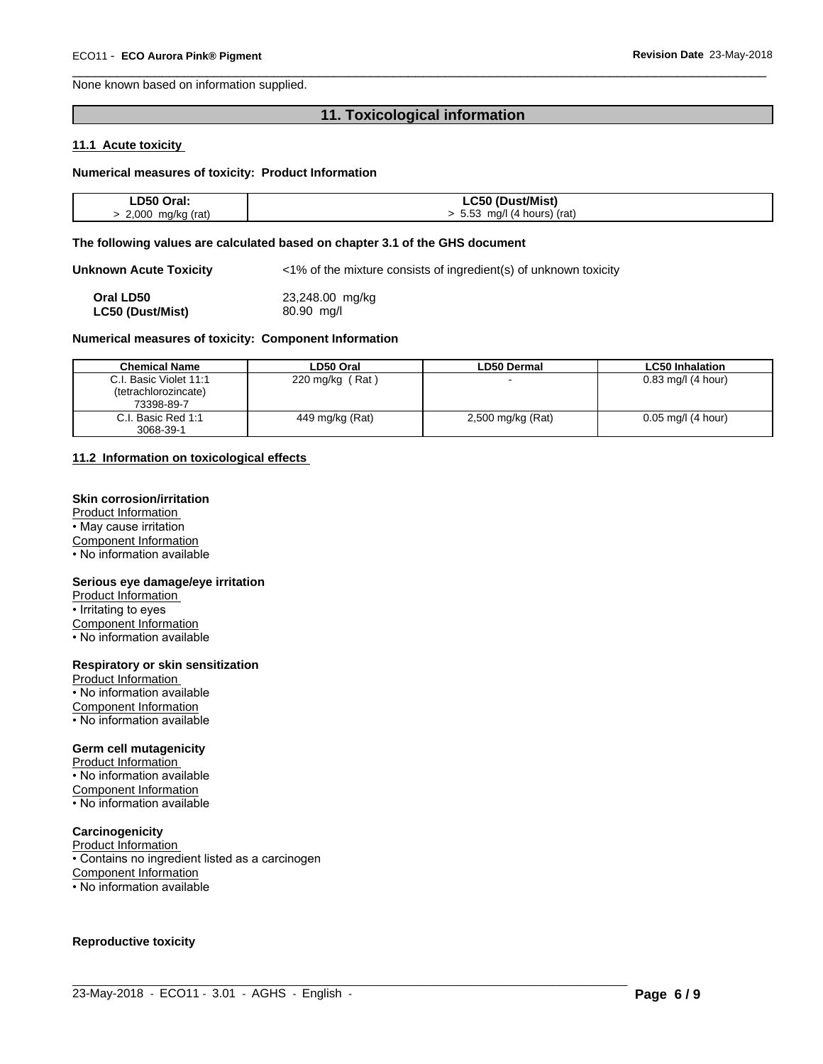None known based on information supplied.

## **11. Toxicological information**

 $\overline{\phantom{a}}$  ,  $\overline{\phantom{a}}$  ,  $\overline{\phantom{a}}$  ,  $\overline{\phantom{a}}$  ,  $\overline{\phantom{a}}$  ,  $\overline{\phantom{a}}$  ,  $\overline{\phantom{a}}$  ,  $\overline{\phantom{a}}$  ,  $\overline{\phantom{a}}$  ,  $\overline{\phantom{a}}$  ,  $\overline{\phantom{a}}$  ,  $\overline{\phantom{a}}$  ,  $\overline{\phantom{a}}$  ,  $\overline{\phantom{a}}$  ,  $\overline{\phantom{a}}$  ,  $\overline{\phantom{a}}$ 

#### **11.1 Acute toxicity**

#### **Numerical measures of toxicity: Product Information**

| LD50 Oral:        | LC50 (Dust/Mist)             |
|-------------------|------------------------------|
| 2,000 mg/kg (rat) | mg/l (4 hours) (rat)<br>5.53 |

#### **The following values are calculated based on chapter 3.1 of the GHS document**

Unknown Acute Toxicity  $\langle 1\%$  of the mixture consists of ingredient(s) of unknown toxicity

| Oral LD50        | 23,248.00 mg/kg |
|------------------|-----------------|
| LC50 (Dust/Mist) | 80.90 mg/l      |

#### **Numerical measures of toxicity: Component Information**

| <b>Chemical Name</b>                 | ∟D50 Oral                   | <b>LD50 Dermal</b>       | <b>LC50 Inhalation</b> |
|--------------------------------------|-----------------------------|--------------------------|------------------------|
| l. Basic Violet 11:1<br>C.I.         | Rat)<br>$220 \text{ mg/kg}$ | $\overline{\phantom{a}}$ | $0.83$ mg/l (4 hour)   |
| (tetrachlorozincate)<br>73398-89-7   |                             |                          |                        |
| . Basic Red 1:1<br>C.I.<br>3068-39-1 | 449 mg/kg (Rat)             | 2,500 mg/kg (Rat)        | $0.05$ mg/l (4 hour)   |

## **11.2 Information on toxicologicaleffects**

#### **Skin corrosion/irritation**

Product Information • May cause irritation Component Information • No information available

#### **Serious eye damage/eye irritation**

Product Information • Irritating to eyes

Component Information • No information available

## **Respiratory or skin sensitization**

Product Information • No information available Component Information • No information available

#### **Germ cell mutagenicity**

Product Information • No information available Component Information • No information available

#### **Carcinogenicity**

Product Information • Contains no ingredient listed as a carcinogen Component Information • No information available

#### **Reproductive toxicity**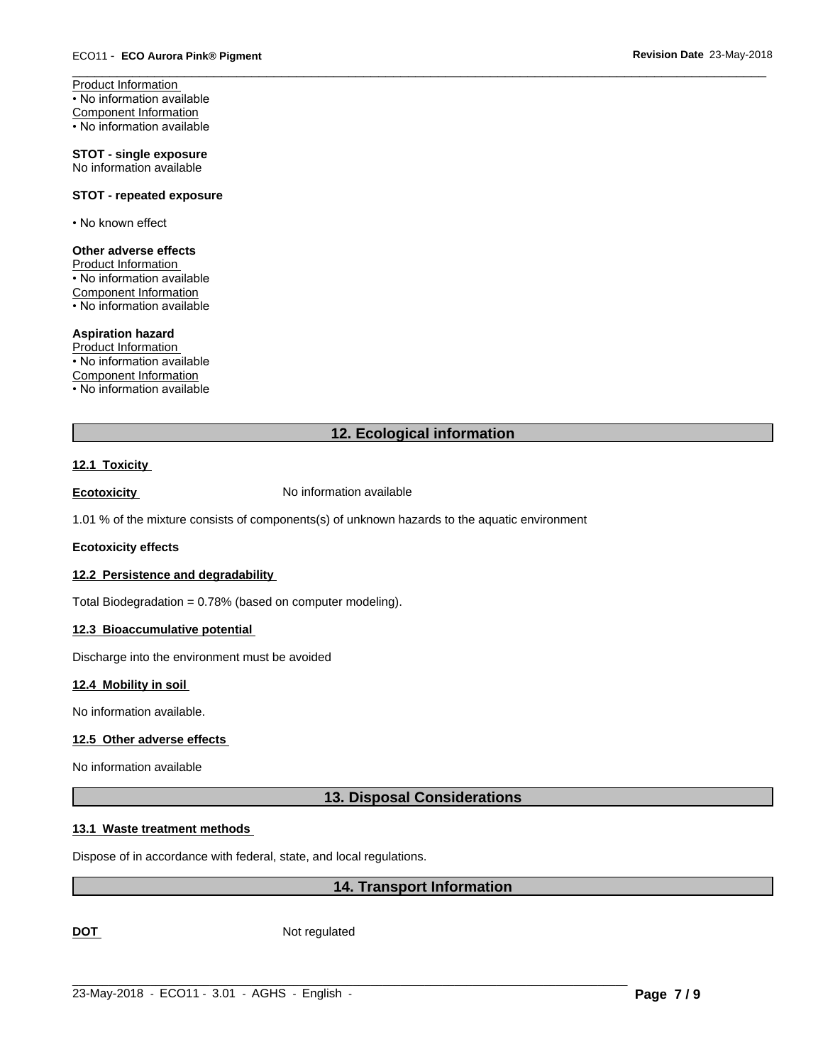Product Information • No information available Component Information • No information available

#### **STOT - single exposure** No information available

#### **STOT - repeated exposure**

• No known effect

## **Other adverse effects**

Product Information • No information available Component Information • No information available

## **Aspiration hazard**

Product Information

• No information available

Component Information

• No information available

## **12. Ecological information**

 $\overline{\phantom{a}}$  ,  $\overline{\phantom{a}}$  ,  $\overline{\phantom{a}}$  ,  $\overline{\phantom{a}}$  ,  $\overline{\phantom{a}}$  ,  $\overline{\phantom{a}}$  ,  $\overline{\phantom{a}}$  ,  $\overline{\phantom{a}}$  ,  $\overline{\phantom{a}}$  ,  $\overline{\phantom{a}}$  ,  $\overline{\phantom{a}}$  ,  $\overline{\phantom{a}}$  ,  $\overline{\phantom{a}}$  ,  $\overline{\phantom{a}}$  ,  $\overline{\phantom{a}}$  ,  $\overline{\phantom{a}}$ 

## **12.1 Toxicity**

**Ecotoxicity No information available** 

1.01 % of the mixture consists of components(s) of unknown hazards to the aquatic environment

### **Ecotoxicity effects**

## **12.2 Persistence and degradability**

Total Biodegradation = 0.78% (based on computer modeling).

#### **12.3 Bioaccumulative potential**

Discharge into the environment must be avoided

#### **12.4 Mobility in soil**

No information available.

#### **12.5 Other adverse effects**

No information available

## **13. Disposal Considerations**

#### **13.1 Waste treatment methods**

Dispose of in accordance with federal, state, and local regulations.

## **14. Transport Information**

 $\_$  ,  $\_$  ,  $\_$  ,  $\_$  ,  $\_$  ,  $\_$  ,  $\_$  ,  $\_$  ,  $\_$  ,  $\_$  ,  $\_$  ,  $\_$  ,  $\_$  ,  $\_$  ,  $\_$  ,  $\_$  ,  $\_$  ,  $\_$  ,  $\_$  ,  $\_$  ,  $\_$  ,  $\_$  ,  $\_$  ,  $\_$  ,  $\_$  ,  $\_$  ,  $\_$  ,  $\_$  ,  $\_$  ,  $\_$  ,  $\_$  ,  $\_$  ,  $\_$  ,  $\_$  ,  $\_$  ,  $\_$  ,  $\_$  ,

**DOT** Not regulated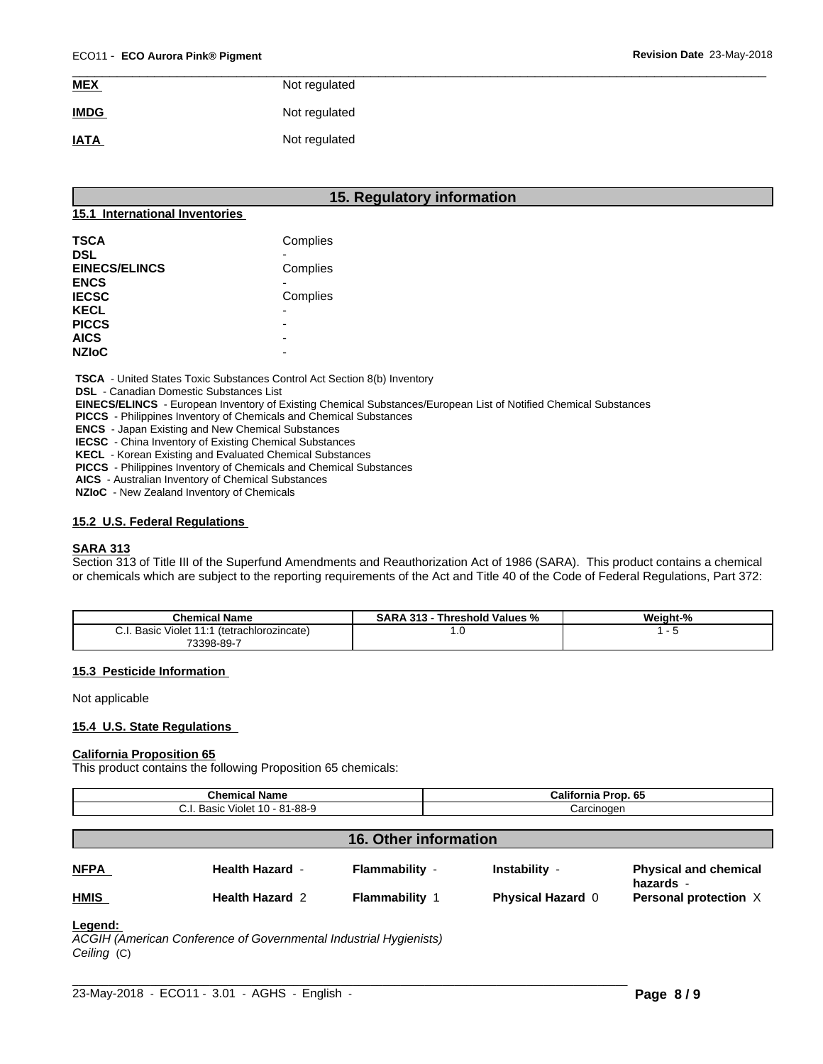| <b>MEX</b>  | Not regulated |  |
|-------------|---------------|--|
| <b>IMDG</b> | Not regulated |  |
| <b>IATA</b> | Not regulated |  |

## **15. Regulatory information**

| 15.1 International Inventories                                                   |                                  |
|----------------------------------------------------------------------------------|----------------------------------|
| <b>TSCA</b><br><b>DSL</b><br><b>EINECS/ELINCS</b><br><b>ENCS</b><br><b>IECSC</b> | Complies<br>Complies<br>Complies |
| <b>KECL</b><br><b>PICCS</b><br><b>AICS</b><br><b>NZIOC</b>                       | -<br>-<br>-                      |

 **TSCA** - United States Toxic Substances Control Act Section 8(b) Inventory

 **DSL** - Canadian Domestic Substances List

 **EINECS/ELINCS** - European Inventory of Existing Chemical Substances/European List of Notified Chemical Substances

 **PICCS** - Philippines Inventory of Chemicals and Chemical Substances

 **ENCS** - Japan Existing and New Chemical Substances

 **IECSC** - China Inventory of Existing Chemical Substances

 **KECL** - Korean Existing and Evaluated Chemical Substances

 **PICCS** - Philippines Inventory of Chemicals and Chemical Substances

 **AICS** - Australian Inventory of Chemical Substances

 **NZIoC** - New Zealand Inventory of Chemicals

#### **15.2 U.S. Federal Regulations**

#### **SARA 313**

Section 313 of Title III of the Superfund Amendments and Reauthorization Act of 1986 (SARA). This product contains a chemical or chemicals which are subject to the reporting requirements of the Act and Title 40 of the Code of Federal Regulations, Part 372:

| <b>Chemical Name</b>                              | <b>SARA 313</b><br>Threshold Values % | Weight-% |
|---------------------------------------------------|---------------------------------------|----------|
| Violet 11:1<br>C.I. Basic<br>(tetrachlorozincate) | . . v                                 |          |
| 73398-89-7                                        |                                       |          |

#### **15.3 Pesticide Information**

#### Not applicable

#### **15.4 U.S. State Regulations**

#### **California Proposition 65**

This product contains the following Proposition 65 chemicals:

| <b>Chemical Name</b>           | <b>California Prop. 65</b>   |
|--------------------------------|------------------------------|
| C.I. Basic Violet 10 - 81-88-9 | Carcinoɑen                   |
|                                |                              |
|                                | <b>16. Other information</b> |

| <b>NFPA</b> | <b>Health Hazard -</b> | Flammability -      | Instability -            | <b>Physical and chemical</b>         |
|-------------|------------------------|---------------------|--------------------------|--------------------------------------|
| <b>HMIS</b> | <b>Health Hazard 2</b> | <b>Flammability</b> | <b>Physical Hazard 0</b> | hazards -<br>Personal protection $X$ |

## **Legend:**

*ACGIH (American Conference of Governmental Industrial Hygienists) Ceiling* (C)